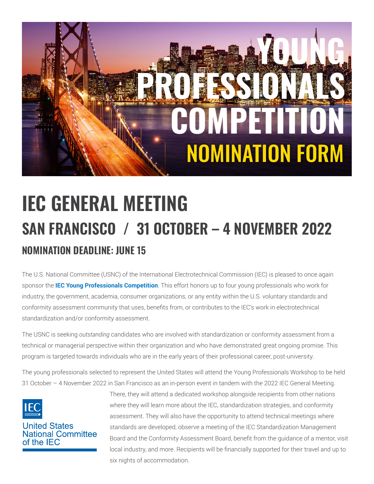

# **NOMINATION DEADLINE: JUNE 15 IEC GENERAL MEETING SAN FRANCISCO / 31 OCTOBER – 4 NOVEMBER 2022**

The U.S. National Committee (USNC) of the International Electrotechnical Commission (IEC) is pleased to once again sponsor the **[IEC Young Professionals Competition](http://www.iec.ch/members_experts/ypp/programme/)**. This effort honors up to four young professionals who work for industry, the government, academia, consumer organizations, or any entity within the U.S. voluntary standards and conformity assessment community that uses, benefits from, or contributes to the IEC's work in electrotechnical standardization and/or conformity assessment.

The USNC is seeking *outstanding* candidates who are involved with standardization or conformity assessment from a technical or managerial perspective within their organization and who have demonstrated great ongoing promise. This program is targeted towards individuals who are in the early years of their professional career, post-university.

The young professionals selected to represent the United States will attend the Young Professionals Workshop to be held 31 October – 4 November 2022 in San Francisco as an in-person event in tandem with the 2022 IEC General Meeting.



## **United States National Committee** of the IFC

There, they will attend a dedicated workshop alongside recipients from other nations where they will learn more about the IEC, standardization strategies, and conformity assessment. They will also have the opportunity to attend technical meetings where standards are developed, observe a meeting of the IEC Standardization Management Board and the Conformity Assessment Board, benefit from the guidance of a mentor, visit local industry, and more. Recipients will be financially supported for their travel and up to six nights of accommodation.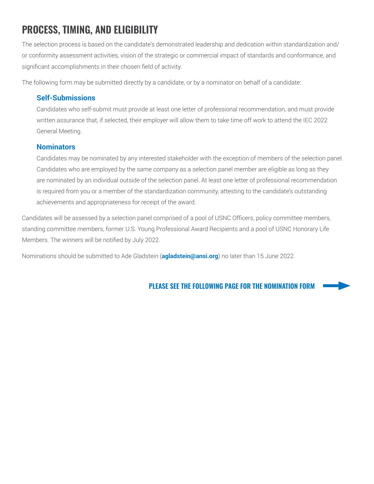# **PROCESS, TIMING, AND ELIGIBILITY**

The selection process is based on the candidate's demonstrated leadership and dedication within standardization and/ or conformity assessment activities, vision of the strategic or commercial impact of standards and conformance, and significant accomplishments in their chosen field of activity.

The following form may be submitted directly by a candidate, or by a nominator on behalf of a candidate:

## **Self-Submissions**

Candidates who self-submit must provide at least one letter of professional recommendation, and must provide written assurance that, if selected, their employer will allow them to take time off work to attend the IEC 2022 General Meeting.

### **Nominators**

Candidates may be nominated by any interested stakeholder with the exception of members of the selection panel. Candidates who are employed by the same company as a selection panel member are eligible as long as they are nominated by an individual outside of the selection panel. At least one letter of professional recommendation is required from you or a member of the standardization community, attesting to the candidate's outstanding achievements and appropriateness for receipt of the award.

Candidates will be assessed by a selection panel comprised of a pool of USNC Officers, policy committee members, standing committee members, former U.S. Young Professional Award Recipients and a pool of USNC Honorary Life Members. The winners will be notified by July 2022.

Nominations should be submitted to Ade Gladstein (**[agladstein@ansi.org](mailto:agladstein%40ansi.org?subject=)**) no later than 15 June 2022.

### **PLEASE SEE THE FOLLOWING PAGE FOR THE NOMINATION FORM**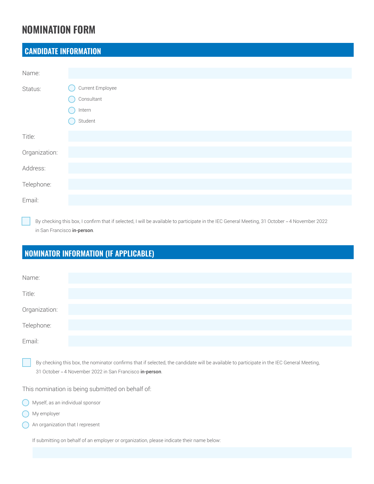## **NOMINATION FORM**

## **CANDIDATE INFORMATION**

| Name:         |                  |
|---------------|------------------|
| Status:       | Current Employee |
|               | Consultant       |
|               | Intern           |
|               | Student          |
| Title:        |                  |
| Organization: |                  |
| Address:      |                  |
| Telephone:    |                  |
| Email:        |                  |

By checking this box, I confirm that if selected, I will be available to participate in the IEC General Meeting, 31 October *–* 4 November 2022 in San Francisco in-person.

## **NOMINATOR INFORMATION (IF APPLICABLE)**

| Name:         |  |  |  |
|---------------|--|--|--|
| Title:        |  |  |  |
| Organization: |  |  |  |
| Telephone:    |  |  |  |
| Email:        |  |  |  |

By checking this box, the nominator confirms that if selected, the candidate will be available to participate in the IEC General Meeting, 31 October *–* 4 November 2022 in San Francisco in-person.

This nomination is being submitted on behalf of:

|  | Myself, as an individual sponsor |  |
|--|----------------------------------|--|
|  |                                  |  |

- My employer
- An organization that I represent

If submitting on behalf of an employer or organization, please indicate their name below: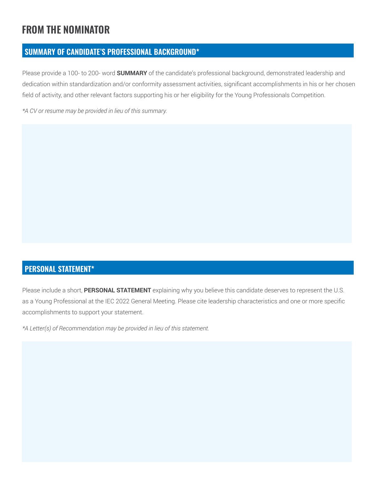# **FROM THE NOMINATOR**

## **SUMMARY OF CANDIDATE'S PROFESSIONAL BACKGROUND\***

Please provide a 100- to 200- word **SUMMARY** of the candidate's professional background, demonstrated leadership and dedication within standardization and/or conformity assessment activities, significant accomplishments in his or her chosen field of activity, and other relevant factors supporting his or her eligibility for the Young Professionals Competition.

*\*A CV or resume may be provided in lieu of this summary.*

## **PERSONAL STATEMENT\***

Please include a short, **PERSONAL STATEMENT** explaining why you believe this candidate deserves to represent the U.S. as a Young Professional at the IEC 2022 General Meeting. Please cite leadership characteristics and one or more specific accomplishments to support your statement.

*\*A Letter(s) of Recommendation may be provided in lieu of this statement.*